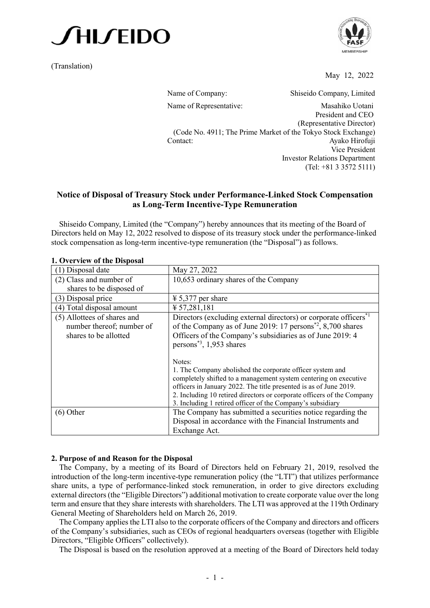

(Translation)



May 12, 2022

Name of Company: Shiseido Company, Limited Name of Representative: Masahiko Uotani President and CEO (Representative Director) (Code No. 4911; The Prime Market of the Tokyo Stock Exchange) Contact: Ayako Hirofuji Vice President Investor Relations Department (Tel: +81 3 3572 5111)

# **Notice of Disposal of Treasury Stock under Performance-Linked Stock Compensation as Long-Term Incentive-Type Remuneration**

Shiseido Company, Limited (the "Company") hereby announces that its meeting of the Board of Directors held on May 12, 2022 resolved to dispose of its treasury stock under the performance-linked stock compensation as long-term incentive-type remuneration (the "Disposal") as follows.

| 1. OVELVIEW OL UIE DISPOSAL                                                       |                                                                                                                                                                                                                                                                               |  |
|-----------------------------------------------------------------------------------|-------------------------------------------------------------------------------------------------------------------------------------------------------------------------------------------------------------------------------------------------------------------------------|--|
| (1) Disposal date                                                                 | May 27, 2022                                                                                                                                                                                                                                                                  |  |
| $(2)$ Class and number of                                                         | 10,653 ordinary shares of the Company                                                                                                                                                                                                                                         |  |
| shares to be disposed of                                                          |                                                                                                                                                                                                                                                                               |  |
| (3) Disposal price                                                                | $\frac{1}{2}$ 5,377 per share                                                                                                                                                                                                                                                 |  |
| (4) Total disposal amount                                                         | $\text{\textsterling} 57,281,181$                                                                                                                                                                                                                                             |  |
| (5) Allottees of shares and<br>number thereof; number of<br>shares to be allotted | Directors (excluding external directors) or corporate officers <sup>*1</sup><br>of the Company as of June 2019: 17 persons <sup>*2</sup> , 8,700 shares<br>Officers of the Company's subsidiaries as of June 2019: 4                                                          |  |
|                                                                                   | persons <sup>*3</sup> , 1,953 shares<br>Notes:<br>1. The Company abolished the corporate officer system and                                                                                                                                                                   |  |
|                                                                                   | completely shifted to a management system centering on executive<br>officers in January 2022. The title presented is as of June 2019.<br>2. Including 10 retired directors or corporate officers of the Company<br>3. Including 1 retired officer of the Company's subsidiary |  |
| $(6)$ Other                                                                       | The Company has submitted a securities notice regarding the<br>Disposal in accordance with the Financial Instruments and<br>Exchange Act.                                                                                                                                     |  |

### **1. Overview of the Disposal**

### **2. Purpose of and Reason for the Disposal**

The Company, by a meeting of its Board of Directors held on February 21, 2019, resolved the introduction of the long-term incentive-type remuneration policy (the "LTI") that utilizes performance share units, a type of performance-linked stock remuneration, in order to give directors excluding external directors (the "Eligible Directors") additional motivation to create corporate value over the long term and ensure that they share interests with shareholders. The LTI was approved at the 119th Ordinary General Meeting of Shareholders held on March 26, 2019.

The Company applies the LTI also to the corporate officers of the Company and directors and officers of the Company's subsidiaries, such as CEOs of regional headquarters overseas (together with Eligible Directors, "Eligible Officers" collectively).

The Disposal is based on the resolution approved at a meeting of the Board of Directors held today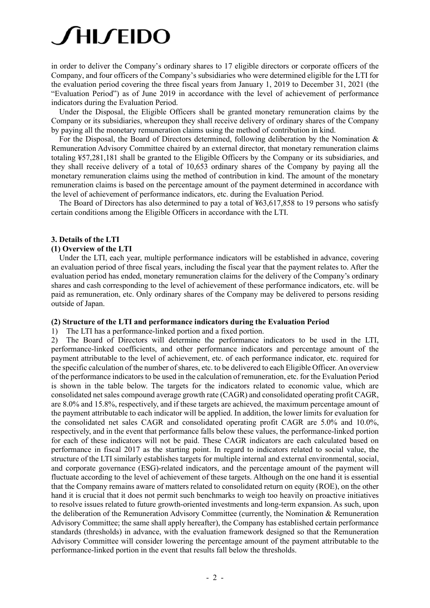# **AILLEIDO**

in order to deliver the Company's ordinary shares to 17 eligible directors or corporate officers of the Company, and four officers of the Company's subsidiaries who were determined eligible for the LTI for the evaluation period covering the three fiscal years from January 1, 2019 to December 31, 2021 (the "Evaluation Period") as of June 2019 in accordance with the level of achievement of performance indicators during the Evaluation Period.

Under the Disposal, the Eligible Officers shall be granted monetary remuneration claims by the Company or its subsidiaries, whereupon they shall receive delivery of ordinary shares of the Company by paying all the monetary remuneration claims using the method of contribution in kind.

For the Disposal, the Board of Directors determined, following deliberation by the Nomination & Remuneration Advisory Committee chaired by an external director, that monetary remuneration claims totaling ¥57,281,181 shall be granted to the Eligible Officers by the Company or its subsidiaries, and they shall receive delivery of a total of 10,653 ordinary shares of the Company by paying all the monetary remuneration claims using the method of contribution in kind. The amount of the monetary remuneration claims is based on the percentage amount of the payment determined in accordance with the level of achievement of performance indicators, etc. during the Evaluation Period.

The Board of Directors has also determined to pay a total of ¥63,617,858 to 19 persons who satisfy certain conditions among the Eligible Officers in accordance with the LTI.

### **3. Details of the LTI**

#### **(1) Overview of the LTI**

Under the LTI, each year, multiple performance indicators will be established in advance, covering an evaluation period of three fiscal years, including the fiscal year that the payment relates to. After the evaluation period has ended, monetary remuneration claims for the delivery of the Company's ordinary shares and cash corresponding to the level of achievement of these performance indicators, etc. will be paid as remuneration, etc. Only ordinary shares of the Company may be delivered to persons residing outside of Japan.

#### **(2) Structure of the LTI and performance indicators during the Evaluation Period**

1) The LTI has a performance-linked portion and a fixed portion.

2) The Board of Directors will determine the performance indicators to be used in the LTI, performance-linked coefficients, and other performance indicators and percentage amount of the payment attributable to the level of achievement, etc. of each performance indicator, etc. required for the specific calculation of the number of shares, etc. to be delivered to each Eligible Officer. An overview of the performance indicators to be used in the calculation of remuneration, etc. for the Evaluation Period is shown in the table below. The targets for the indicators related to economic value, which are consolidated net sales compound average growth rate (CAGR) and consolidated operating profit CAGR, are 8.0% and 15.8%, respectively, and if these targets are achieved, the maximum percentage amount of the payment attributable to each indicator will be applied. In addition, the lower limits for evaluation for the consolidated net sales CAGR and consolidated operating profit CAGR are 5.0% and 10.0%, respectively, and in the event that performance falls below these values, the performance-linked portion for each of these indicators will not be paid. These CAGR indicators are each calculated based on performance in fiscal 2017 as the starting point. In regard to indicators related to social value, the structure of the LTI similarly establishes targets for multiple internal and external environmental, social, and corporate governance (ESG)-related indicators, and the percentage amount of the payment will fluctuate according to the level of achievement of these targets. Although on the one hand it is essential that the Company remains aware of matters related to consolidated return on equity (ROE), on the other hand it is crucial that it does not permit such benchmarks to weigh too heavily on proactive initiatives to resolve issues related to future growth-oriented investments and long-term expansion. As such, upon the deliberation of the Remuneration Advisory Committee (currently, the Nomination & Remuneration Advisory Committee; the same shall apply hereafter), the Company has established certain performance standards (thresholds) in advance, with the evaluation framework designed so that the Remuneration Advisory Committee will consider lowering the percentage amount of the payment attributable to the performance-linked portion in the event that results fall below the thresholds.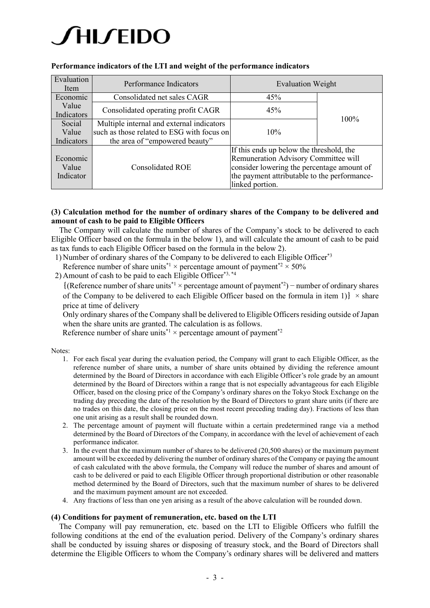# **∕ HI ∕EIDO**

| Evaluation<br>Item             | Performance Indicators                                                                                                    | <b>Evaluation Weight</b>                                                                                                                                                                          |         |  |
|--------------------------------|---------------------------------------------------------------------------------------------------------------------------|---------------------------------------------------------------------------------------------------------------------------------------------------------------------------------------------------|---------|--|
| Economic                       | Consolidated net sales CAGR                                                                                               | 45%                                                                                                                                                                                               |         |  |
| Value<br>Indicators            | Consolidated operating profit CAGR                                                                                        | 45%                                                                                                                                                                                               | $100\%$ |  |
| Social<br>Value<br>Indicators  | Multiple internal and external indicators<br>such as those related to ESG with focus on<br>the area of "empowered beauty" | 10%                                                                                                                                                                                               |         |  |
| Economic<br>Value<br>Indicator | Consolidated ROE                                                                                                          | If this ends up below the threshold, the<br>Remuneration Advisory Committee will<br>consider lowering the percentage amount of<br>the payment attributable to the performance-<br>linked portion. |         |  |

# **Performance indicators of the LTI and weight of the performance indicators**

# **(3) Calculation method for the number of ordinary shares of the Company to be delivered and amount of cash to be paid to Eligible Officers**

The Company will calculate the number of shares of the Company's stock to be delivered to each Eligible Officer based on the formula in the below 1), and will calculate the amount of cash to be paid as tax funds to each Eligible Officer based on the formula in the below 2).

1) Number of ordinary shares of the Company to be delivered to each Eligible Officer\*3

Reference number of share units<sup>\*1</sup> × percentage amount of payment<sup>\*2</sup> × 50%

2) Amount of cash to be paid to each Eligible Officer\*3, \*4

 $\{(Reference number of share units^*1 \times percentage amount of payment^*) - number of ordinary shares\}$ of the Company to be delivered to each Eligible Officer based on the formula in item 1)  $\rightarrow$  share price at time of delivery

Only ordinary shares of the Company shall be delivered to Eligible Officers residing outside of Japan when the share units are granted. The calculation is as follows.

Reference number of share units<sup>\*1</sup>  $\times$  percentage amount of payment<sup>\*2</sup>

Notes:

- 1. For each fiscal year during the evaluation period, the Company will grant to each Eligible Officer, as the reference number of share units, a number of share units obtained by dividing the reference amount determined by the Board of Directors in accordance with each Eligible Officer's role grade by an amount determined by the Board of Directors within a range that is not especially advantageous for each Eligible Officer, based on the closing price of the Company's ordinary shares on the Tokyo Stock Exchange on the trading day preceding the date of the resolution by the Board of Directors to grant share units (if there are no trades on this date, the closing price on the most recent preceding trading day). Fractions of less than one unit arising as a result shall be rounded down.
- 2. The percentage amount of payment will fluctuate within a certain predetermined range via a method determined by the Board of Directors of the Company, in accordance with the level of achievement of each performance indicator.
- 3. In the event that the maximum number of shares to be delivered (20,500 shares) or the maximum payment amount will be exceeded by delivering the number of ordinary shares of the Company or paying the amount of cash calculated with the above formula, the Company will reduce the number of shares and amount of cash to be delivered or paid to each Eligible Officer through proportional distribution or other reasonable method determined by the Board of Directors, such that the maximum number of shares to be delivered and the maximum payment amount are not exceeded.
- 4. Any fractions of less than one yen arising as a result of the above calculation will be rounded down.

### **(4) Conditions for payment of remuneration, etc. based on the LTI**

The Company will pay remuneration, etc. based on the LTI to Eligible Officers who fulfill the following conditions at the end of the evaluation period. Delivery of the Company's ordinary shares shall be conducted by issuing shares or disposing of treasury stock, and the Board of Directors shall determine the Eligible Officers to whom the Company's ordinary shares will be delivered and matters